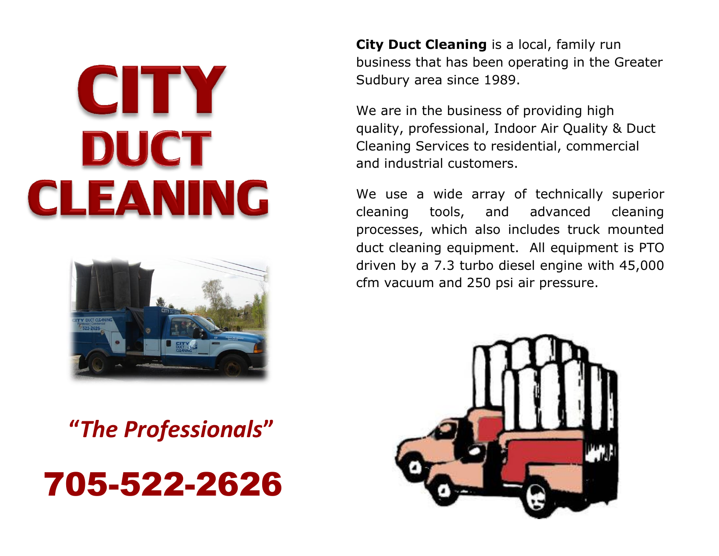# CITY DUCT CLEANING



**"***The Professionals***"**

## 705-522-2626

**City Duct Cleaning** is a local, family run business that has been operating in the Greater Sudbury area since 1989.

We are in the business of providing high quality, professional, Indoor Air Quality & Duct Cleaning Services to residential, commercial and industrial customers.

We use a wide array of technically superior cleaning tools, and advanced cleaning processes, which also includes truck mounted duct cleaning equipment. All equipment is PTO driven by a 7.3 turbo diesel engine with 45,000 cfm vacuum and 250 psi air pressure.